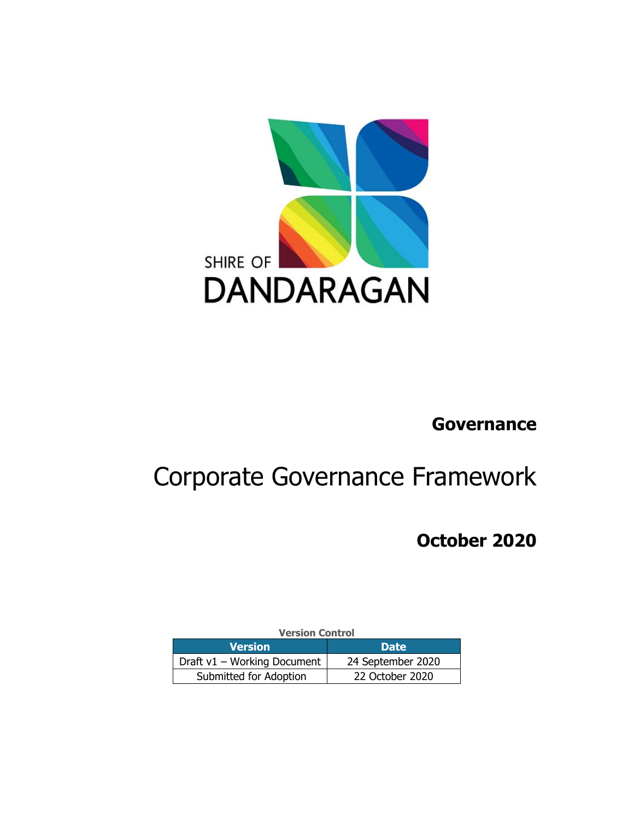

# **Governance**

# Corporate Governance Framework

 **October 2020**

| <b>Version Control</b>      |                   |  |
|-----------------------------|-------------------|--|
| <b>Version</b>              | <b>Date</b>       |  |
| Draft v1 - Working Document | 24 September 2020 |  |
| Submitted for Adoption      | 22 October 2020   |  |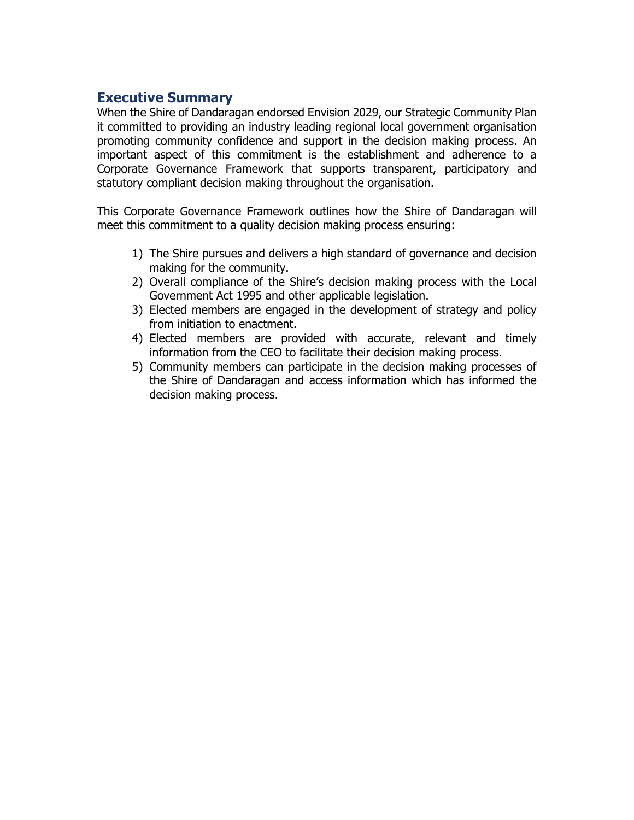### **Executive Summary**

When the Shire of Dandaragan endorsed Envision 2029, our Strategic Community Plan it committed to providing an industry leading regional local government organisation promoting community confidence and support in the decision making process. An important aspect of this commitment is the establishment and adherence to a Corporate Governance Framework that supports transparent, participatory and statutory compliant decision making throughout the organisation.

This Corporate Governance Framework outlines how the Shire of Dandaragan will meet this commitment to a quality decision making process ensuring:

- 1) The Shire pursues and delivers a high standard of governance and decision making for the community.
- 2) Overall compliance of the Shire's decision making process with the Local Government Act 1995 and other applicable legislation.
- 3) Elected members are engaged in the development of strategy and policy from initiation to enactment.
- 4) Elected members are provided with accurate, relevant and timely information from the CEO to facilitate their decision making process.
- 5) Community members can participate in the decision making processes of the Shire of Dandaragan and access information which has informed the decision making process.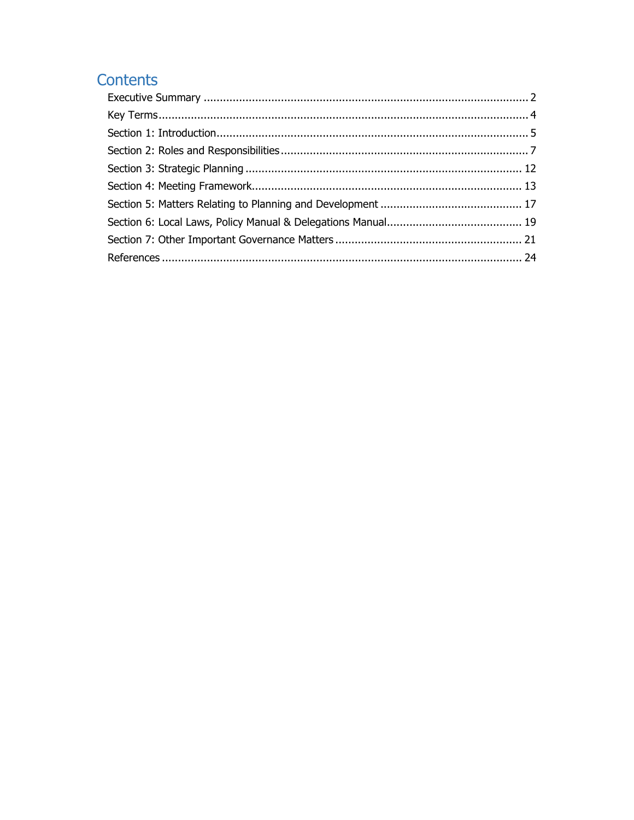# Contents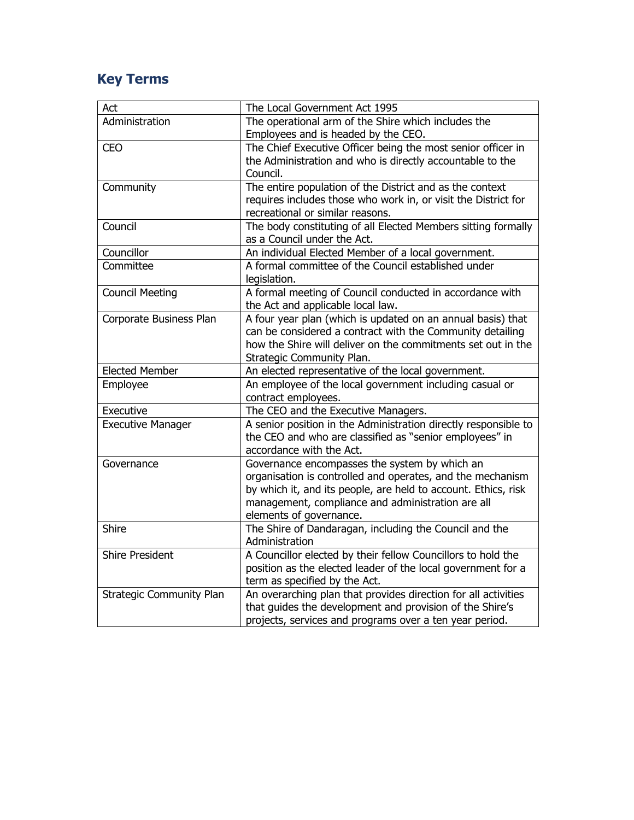# **Key Terms**

| Act                             | The Local Government Act 1995                                   |
|---------------------------------|-----------------------------------------------------------------|
| Administration                  | The operational arm of the Shire which includes the             |
|                                 | Employees and is headed by the CEO.                             |
| <b>CEO</b>                      | The Chief Executive Officer being the most senior officer in    |
|                                 | the Administration and who is directly accountable to the       |
|                                 | Council.                                                        |
| Community                       | The entire population of the District and as the context        |
|                                 | requires includes those who work in, or visit the District for  |
|                                 | recreational or similar reasons.                                |
| Council                         | The body constituting of all Elected Members sitting formally   |
|                                 | as a Council under the Act.                                     |
| Councillor                      | An individual Elected Member of a local government.             |
| Committee                       | A formal committee of the Council established under             |
|                                 | legislation.                                                    |
| <b>Council Meeting</b>          | A formal meeting of Council conducted in accordance with        |
|                                 | the Act and applicable local law.                               |
| Corporate Business Plan         | A four year plan (which is updated on an annual basis) that     |
|                                 | can be considered a contract with the Community detailing       |
|                                 | how the Shire will deliver on the commitments set out in the    |
|                                 | Strategic Community Plan.                                       |
| <b>Elected Member</b>           | An elected representative of the local government.              |
| Employee                        | An employee of the local government including casual or         |
|                                 | contract employees.                                             |
| Executive                       | The CEO and the Executive Managers.                             |
| <b>Executive Manager</b>        | A senior position in the Administration directly responsible to |
|                                 | the CEO and who are classified as "senior employees" in         |
|                                 | accordance with the Act.                                        |
| Governance                      | Governance encompasses the system by which an                   |
|                                 | organisation is controlled and operates, and the mechanism      |
|                                 | by which it, and its people, are held to account. Ethics, risk  |
|                                 | management, compliance and administration are all               |
|                                 | elements of governance.                                         |
| Shire                           | The Shire of Dandaragan, including the Council and the          |
|                                 | Administration                                                  |
| <b>Shire President</b>          | A Councillor elected by their fellow Councillors to hold the    |
|                                 | position as the elected leader of the local government for a    |
|                                 | term as specified by the Act.                                   |
| <b>Strategic Community Plan</b> | An overarching plan that provides direction for all activities  |
|                                 | that guides the development and provision of the Shire's        |
|                                 | projects, services and programs over a ten year period.         |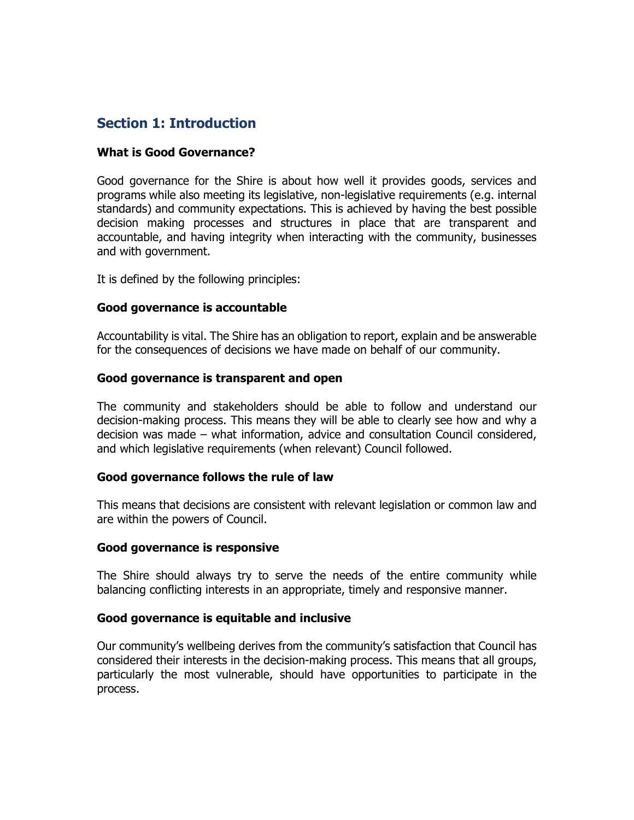# **Section 1: Introduction**

#### **What is Good Governance?**

Good governance for the Shire is about how well it provides goods, services and programs while also meeting its legislative, non-legislative requirements (e.g. internal standards) and community expectations. This is achieved by having the best possible decision making processes and structures in place that are transparent and accountable, and having integrity when interacting with the community, businesses and with government.

It is defined by the following principles:

#### **Good governance is accountable**

Accountability is vital. The Shire has an obligation to report, explain and be answerable for the consequences of decisions we have made on behalf of our community.

#### **Good governance is transparent and open**

The community and stakeholders should be able to follow and understand our decision-making process. This means they will be able to clearly see how and why a decision was made – what information, advice and consultation Council considered, and which legislative requirements (when relevant) Council followed.

#### **Good governance follows the rule of law**

This means that decisions are consistent with relevant legislation or common law and are within the powers of Council.

#### **Good governance is responsive**

The Shire should always try to serve the needs of the entire community while balancing conflicting interests in an appropriate, timely and responsive manner.

#### **Good governance is equitable and inclusive**

Our community's wellbeing derives from the community's satisfaction that Council has considered their interests in the decision-making process. This means that all groups, particularly the most vulnerable, should have opportunities to participate in the process.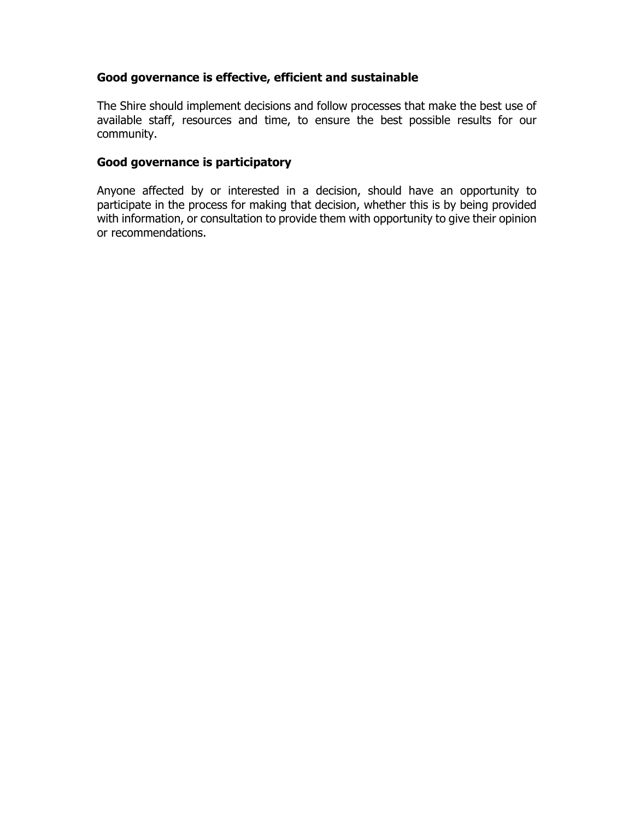#### **Good governance is effective, efficient and sustainable**

The Shire should implement decisions and follow processes that make the best use of available staff, resources and time, to ensure the best possible results for our community.

#### **Good governance is participatory**

Anyone affected by or interested in a decision, should have an opportunity to participate in the process for making that decision, whether this is by being provided with information, or consultation to provide them with opportunity to give their opinion or recommendations.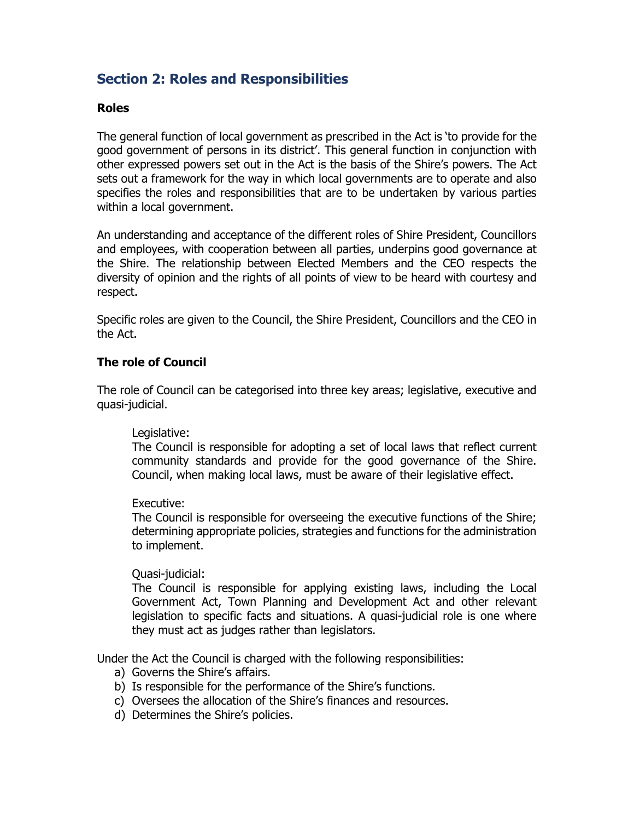# **Section 2: Roles and Responsibilities**

#### **Roles**

The general function of local government as prescribed in the Act is 'to provide for the good government of persons in its district'. This general function in conjunction with other expressed powers set out in the Act is the basis of the Shire's powers. The Act sets out a framework for the way in which local governments are to operate and also specifies the roles and responsibilities that are to be undertaken by various parties within a local government.

An understanding and acceptance of the different roles of Shire President, Councillors and employees, with cooperation between all parties, underpins good governance at the Shire. The relationship between Elected Members and the CEO respects the diversity of opinion and the rights of all points of view to be heard with courtesy and respect.

Specific roles are given to the Council, the Shire President, Councillors and the CEO in the Act.

#### **The role of Council**

The role of Council can be categorised into three key areas; legislative, executive and quasi-judicial.

#### Legislative:

The Council is responsible for adopting a set of local laws that reflect current community standards and provide for the good governance of the Shire. Council, when making local laws, must be aware of their legislative effect.

#### Executive:

The Council is responsible for overseeing the executive functions of the Shire; determining appropriate policies, strategies and functions for the administration to implement.

#### Quasi-judicial:

The Council is responsible for applying existing laws, including the Local Government Act, Town Planning and Development Act and other relevant legislation to specific facts and situations. A quasi-judicial role is one where they must act as judges rather than legislators.

Under the Act the Council is charged with the following responsibilities:

- a) Governs the Shire's affairs.
- b) Is responsible for the performance of the Shire's functions.
- c) Oversees the allocation of the Shire's finances and resources.
- d) Determines the Shire's policies.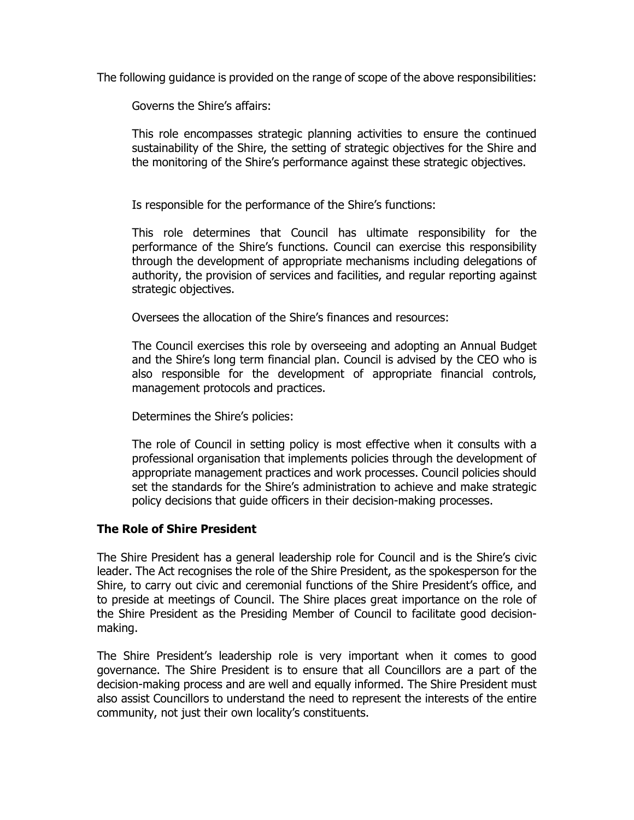The following guidance is provided on the range of scope of the above responsibilities:

Governs the Shire's affairs:

This role encompasses strategic planning activities to ensure the continued sustainability of the Shire, the setting of strategic objectives for the Shire and the monitoring of the Shire's performance against these strategic objectives.

Is responsible for the performance of the Shire's functions:

This role determines that Council has ultimate responsibility for the performance of the Shire's functions. Council can exercise this responsibility through the development of appropriate mechanisms including delegations of authority, the provision of services and facilities, and regular reporting against strategic objectives.

Oversees the allocation of the Shire's finances and resources:

The Council exercises this role by overseeing and adopting an Annual Budget and the Shire's long term financial plan. Council is advised by the CEO who is also responsible for the development of appropriate financial controls, management protocols and practices.

Determines the Shire's policies:

The role of Council in setting policy is most effective when it consults with a professional organisation that implements policies through the development of appropriate management practices and work processes. Council policies should set the standards for the Shire's administration to achieve and make strategic policy decisions that guide officers in their decision-making processes.

#### **The Role of Shire President**

The Shire President has a general leadership role for Council and is the Shire's civic leader. The Act recognises the role of the Shire President, as the spokesperson for the Shire, to carry out civic and ceremonial functions of the Shire President's office, and to preside at meetings of Council. The Shire places great importance on the role of the Shire President as the Presiding Member of Council to facilitate good decisionmaking.

The Shire President's leadership role is very important when it comes to good governance. The Shire President is to ensure that all Councillors are a part of the decision-making process and are well and equally informed. The Shire President must also assist Councillors to understand the need to represent the interests of the entire community, not just their own locality's constituents.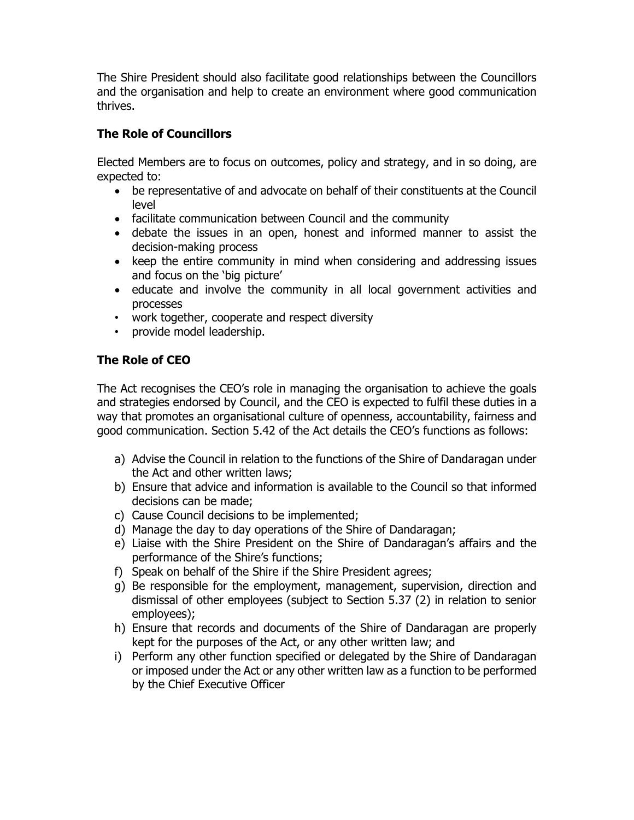The Shire President should also facilitate good relationships between the Councillors and the organisation and help to create an environment where good communication thrives.

#### **The Role of Councillors**

Elected Members are to focus on outcomes, policy and strategy, and in so doing, are expected to:

- be representative of and advocate on behalf of their constituents at the Council level
- facilitate communication between Council and the community
- debate the issues in an open, honest and informed manner to assist the decision-making process
- keep the entire community in mind when considering and addressing issues and focus on the 'big picture'
- educate and involve the community in all local government activities and processes
- work together, cooperate and respect diversity
- provide model leadership.

## **The Role of CEO**

The Act recognises the CEO's role in managing the organisation to achieve the goals and strategies endorsed by Council, and the CEO is expected to fulfil these duties in a way that promotes an organisational culture of openness, accountability, fairness and good communication. Section 5.42 of the Act details the CEO's functions as follows:

- a) Advise the Council in relation to the functions of the Shire of Dandaragan under the Act and other written laws;
- b) Ensure that advice and information is available to the Council so that informed decisions can be made;
- c) Cause Council decisions to be implemented;
- d) Manage the day to day operations of the Shire of Dandaragan;
- e) Liaise with the Shire President on the Shire of Dandaragan's affairs and the performance of the Shire's functions;
- f) Speak on behalf of the Shire if the Shire President agrees;
- g) Be responsible for the employment, management, supervision, direction and dismissal of other employees (subject to Section 5.37 (2) in relation to senior employees);
- h) Ensure that records and documents of the Shire of Dandaragan are properly kept for the purposes of the Act, or any other written law; and
- i) Perform any other function specified or delegated by the Shire of Dandaragan or imposed under the Act or any other written law as a function to be performed by the Chief Executive Officer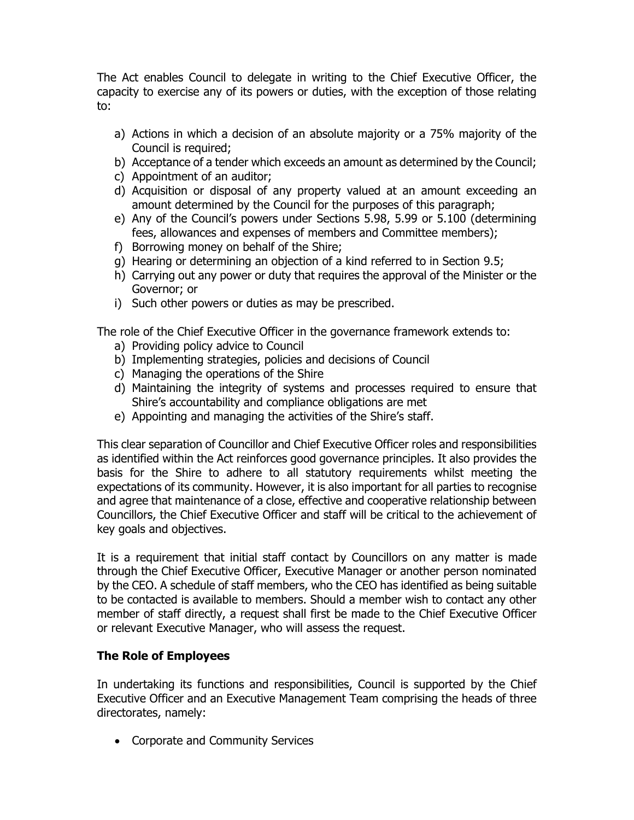The Act enables Council to delegate in writing to the Chief Executive Officer, the capacity to exercise any of its powers or duties, with the exception of those relating to:

- a) Actions in which a decision of an absolute majority or a 75% majority of the Council is required;
- b) Acceptance of a tender which exceeds an amount as determined by the Council;
- c) Appointment of an auditor;
- d) Acquisition or disposal of any property valued at an amount exceeding an amount determined by the Council for the purposes of this paragraph;
- e) Any of the Council's powers under Sections 5.98, 5.99 or 5.100 (determining fees, allowances and expenses of members and Committee members);
- f) Borrowing money on behalf of the Shire;
- g) Hearing or determining an objection of a kind referred to in Section 9.5;
- h) Carrying out any power or duty that requires the approval of the Minister or the Governor; or
- i) Such other powers or duties as may be prescribed.

The role of the Chief Executive Officer in the governance framework extends to:

- a) Providing policy advice to Council
- b) Implementing strategies, policies and decisions of Council
- c) Managing the operations of the Shire
- d) Maintaining the integrity of systems and processes required to ensure that Shire's accountability and compliance obligations are met
- e) Appointing and managing the activities of the Shire's staff.

This clear separation of Councillor and Chief Executive Officer roles and responsibilities as identified within the Act reinforces good governance principles. It also provides the basis for the Shire to adhere to all statutory requirements whilst meeting the expectations of its community. However, it is also important for all parties to recognise and agree that maintenance of a close, effective and cooperative relationship between Councillors, the Chief Executive Officer and staff will be critical to the achievement of key goals and objectives.

It is a requirement that initial staff contact by Councillors on any matter is made through the Chief Executive Officer, Executive Manager or another person nominated by the CEO. A schedule of staff members, who the CEO has identified as being suitable to be contacted is available to members. Should a member wish to contact any other member of staff directly, a request shall first be made to the Chief Executive Officer or relevant Executive Manager, who will assess the request.

#### **The Role of Employees**

In undertaking its functions and responsibilities, Council is supported by the Chief Executive Officer and an Executive Management Team comprising the heads of three directorates, namely:

Corporate and Community Services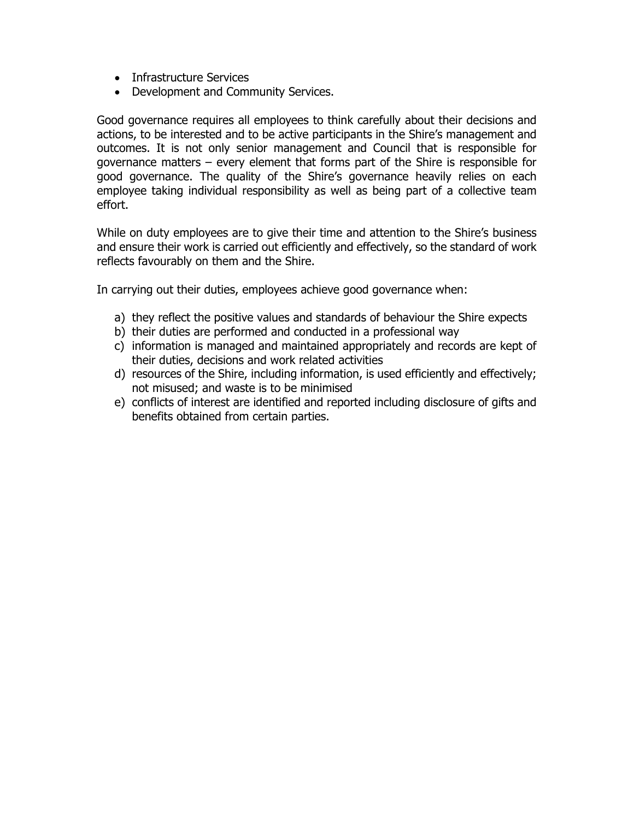- Infrastructure Services
- Development and Community Services.

Good governance requires all employees to think carefully about their decisions and actions, to be interested and to be active participants in the Shire's management and outcomes. It is not only senior management and Council that is responsible for governance matters – every element that forms part of the Shire is responsible for good governance. The quality of the Shire's governance heavily relies on each employee taking individual responsibility as well as being part of a collective team effort.

While on duty employees are to give their time and attention to the Shire's business and ensure their work is carried out efficiently and effectively, so the standard of work reflects favourably on them and the Shire.

In carrying out their duties, employees achieve good governance when:

- a) they reflect the positive values and standards of behaviour the Shire expects
- b) their duties are performed and conducted in a professional way
- c) information is managed and maintained appropriately and records are kept of their duties, decisions and work related activities
- d) resources of the Shire, including information, is used efficiently and effectively; not misused; and waste is to be minimised
- e) conflicts of interest are identified and reported including disclosure of gifts and benefits obtained from certain parties.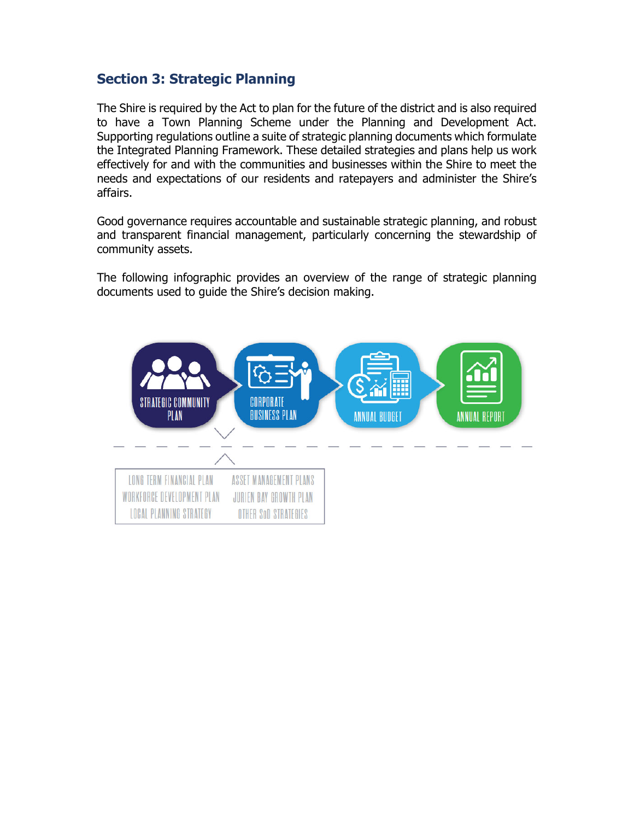# **Section 3: Strategic Planning**

The Shire is required by the Act to plan for the future of the district and is also required to have a Town Planning Scheme under the Planning and Development Act. Supporting regulations outline a suite of strategic planning documents which formulate the Integrated Planning Framework. These detailed strategies and plans help us work effectively for and with the communities and businesses within the Shire to meet the needs and expectations of our residents and ratepayers and administer the Shire's affairs.

Good governance requires accountable and sustainable strategic planning, and robust and transparent financial management, particularly concerning the stewardship of community assets.

The following infographic provides an overview of the range of strategic planning documents used to guide the Shire's decision making.

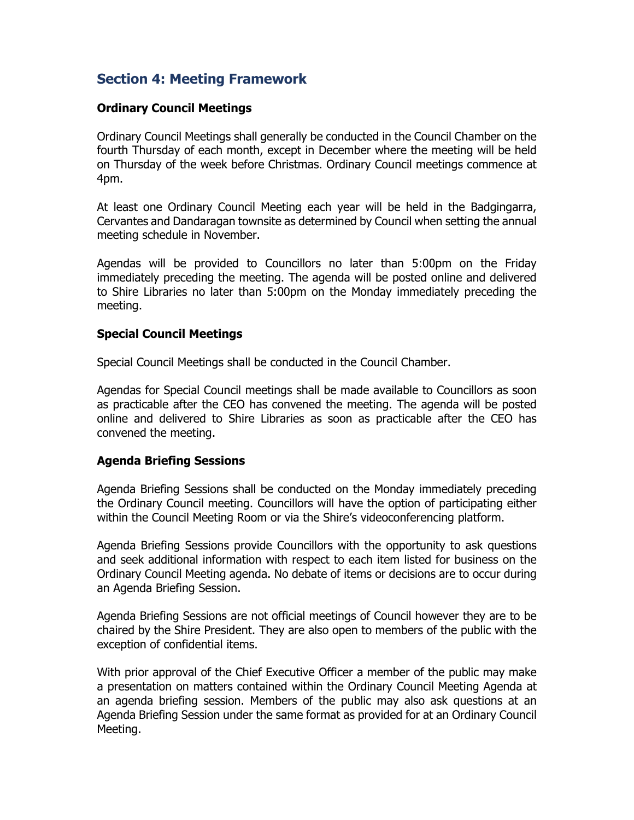# **Section 4: Meeting Framework**

#### **Ordinary Council Meetings**

Ordinary Council Meetings shall generally be conducted in the Council Chamber on the fourth Thursday of each month, except in December where the meeting will be held on Thursday of the week before Christmas. Ordinary Council meetings commence at 4pm.

At least one Ordinary Council Meeting each year will be held in the Badgingarra, Cervantes and Dandaragan townsite as determined by Council when setting the annual meeting schedule in November.

Agendas will be provided to Councillors no later than 5:00pm on the Friday immediately preceding the meeting. The agenda will be posted online and delivered to Shire Libraries no later than 5:00pm on the Monday immediately preceding the meeting.

#### **Special Council Meetings**

Special Council Meetings shall be conducted in the Council Chamber.

Agendas for Special Council meetings shall be made available to Councillors as soon as practicable after the CEO has convened the meeting. The agenda will be posted online and delivered to Shire Libraries as soon as practicable after the CEO has convened the meeting.

#### **Agenda Briefing Sessions**

Agenda Briefing Sessions shall be conducted on the Monday immediately preceding the Ordinary Council meeting. Councillors will have the option of participating either within the Council Meeting Room or via the Shire's videoconferencing platform.

Agenda Briefing Sessions provide Councillors with the opportunity to ask questions and seek additional information with respect to each item listed for business on the Ordinary Council Meeting agenda. No debate of items or decisions are to occur during an Agenda Briefing Session.

Agenda Briefing Sessions are not official meetings of Council however they are to be chaired by the Shire President. They are also open to members of the public with the exception of confidential items.

With prior approval of the Chief Executive Officer a member of the public may make a presentation on matters contained within the Ordinary Council Meeting Agenda at an agenda briefing session. Members of the public may also ask questions at an Agenda Briefing Session under the same format as provided for at an Ordinary Council Meeting.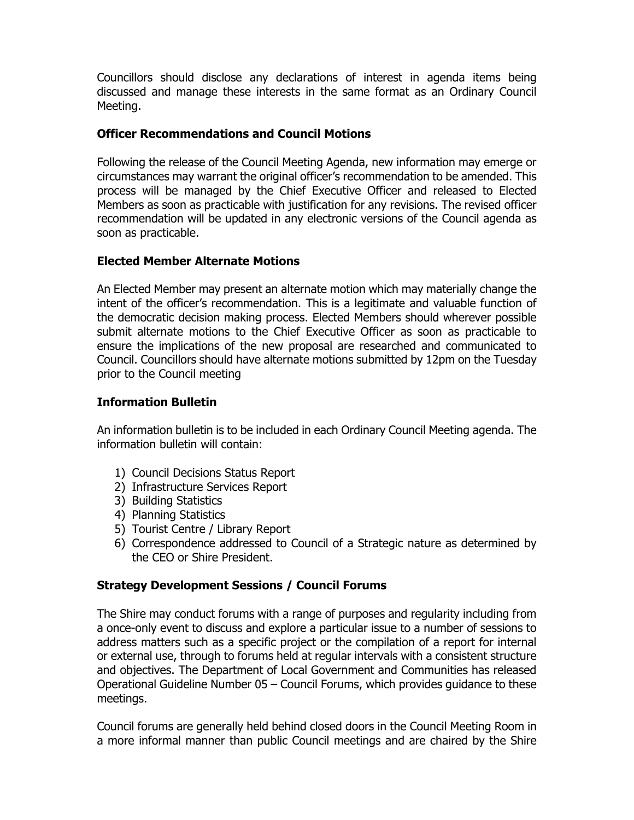Councillors should disclose any declarations of interest in agenda items being discussed and manage these interests in the same format as an Ordinary Council Meeting.

#### **Officer Recommendations and Council Motions**

Following the release of the Council Meeting Agenda, new information may emerge or circumstances may warrant the original officer's recommendation to be amended. This process will be managed by the Chief Executive Officer and released to Elected Members as soon as practicable with justification for any revisions. The revised officer recommendation will be updated in any electronic versions of the Council agenda as soon as practicable.

#### **Elected Member Alternate Motions**

An Elected Member may present an alternate motion which may materially change the intent of the officer's recommendation. This is a legitimate and valuable function of the democratic decision making process. Elected Members should wherever possible submit alternate motions to the Chief Executive Officer as soon as practicable to ensure the implications of the new proposal are researched and communicated to Council. Councillors should have alternate motions submitted by 12pm on the Tuesday prior to the Council meeting

#### **Information Bulletin**

An information bulletin is to be included in each Ordinary Council Meeting agenda. The information bulletin will contain:

- 1) Council Decisions Status Report
- 2) Infrastructure Services Report
- 3) Building Statistics
- 4) Planning Statistics
- 5) Tourist Centre / Library Report
- 6) Correspondence addressed to Council of a Strategic nature as determined by the CEO or Shire President.

#### **Strategy Development Sessions / Council Forums**

The Shire may conduct forums with a range of purposes and regularity including from a once-only event to discuss and explore a particular issue to a number of sessions to address matters such as a specific project or the compilation of a report for internal or external use, through to forums held at regular intervals with a consistent structure and objectives. The Department of Local Government and Communities has released Operational Guideline Number 05 – Council Forums, which provides guidance to these meetings.

Council forums are generally held behind closed doors in the Council Meeting Room in a more informal manner than public Council meetings and are chaired by the Shire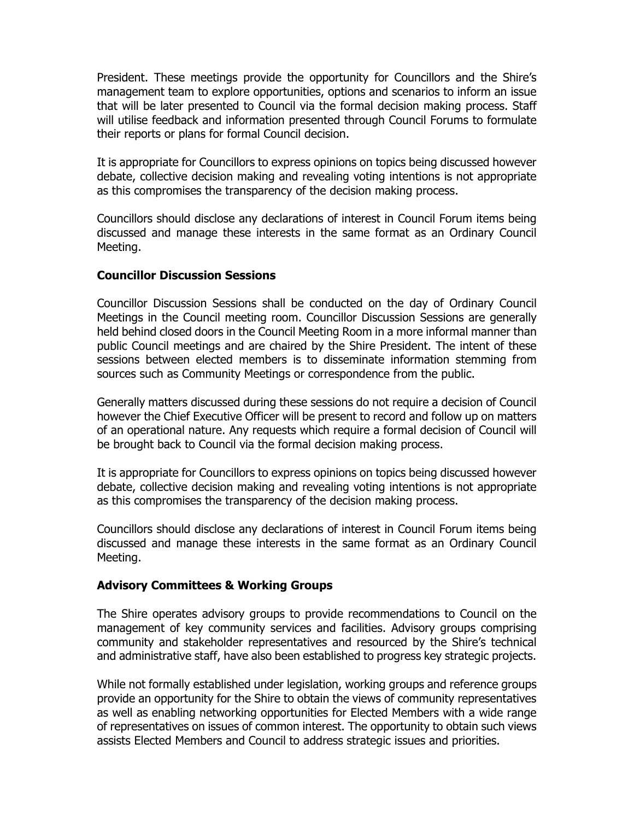President. These meetings provide the opportunity for Councillors and the Shire's management team to explore opportunities, options and scenarios to inform an issue that will be later presented to Council via the formal decision making process. Staff will utilise feedback and information presented through Council Forums to formulate their reports or plans for formal Council decision.

It is appropriate for Councillors to express opinions on topics being discussed however debate, collective decision making and revealing voting intentions is not appropriate as this compromises the transparency of the decision making process.

Councillors should disclose any declarations of interest in Council Forum items being discussed and manage these interests in the same format as an Ordinary Council Meeting.

#### **Councillor Discussion Sessions**

Councillor Discussion Sessions shall be conducted on the day of Ordinary Council Meetings in the Council meeting room. Councillor Discussion Sessions are generally held behind closed doors in the Council Meeting Room in a more informal manner than public Council meetings and are chaired by the Shire President. The intent of these sessions between elected members is to disseminate information stemming from sources such as Community Meetings or correspondence from the public.

Generally matters discussed during these sessions do not require a decision of Council however the Chief Executive Officer will be present to record and follow up on matters of an operational nature. Any requests which require a formal decision of Council will be brought back to Council via the formal decision making process.

It is appropriate for Councillors to express opinions on topics being discussed however debate, collective decision making and revealing voting intentions is not appropriate as this compromises the transparency of the decision making process.

Councillors should disclose any declarations of interest in Council Forum items being discussed and manage these interests in the same format as an Ordinary Council Meeting.

#### **Advisory Committees & Working Groups**

The Shire operates advisory groups to provide recommendations to Council on the management of key community services and facilities. Advisory groups comprising community and stakeholder representatives and resourced by the Shire's technical and administrative staff, have also been established to progress key strategic projects.

While not formally established under legislation, working groups and reference groups provide an opportunity for the Shire to obtain the views of community representatives as well as enabling networking opportunities for Elected Members with a wide range of representatives on issues of common interest. The opportunity to obtain such views assists Elected Members and Council to address strategic issues and priorities.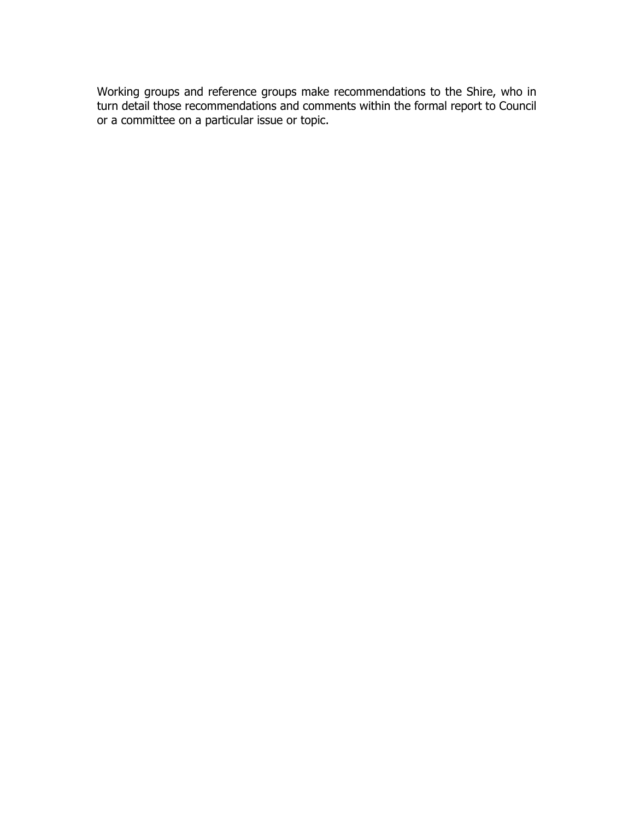Working groups and reference groups make recommendations to the Shire, who in turn detail those recommendations and comments within the formal report to Council or a committee on a particular issue or topic.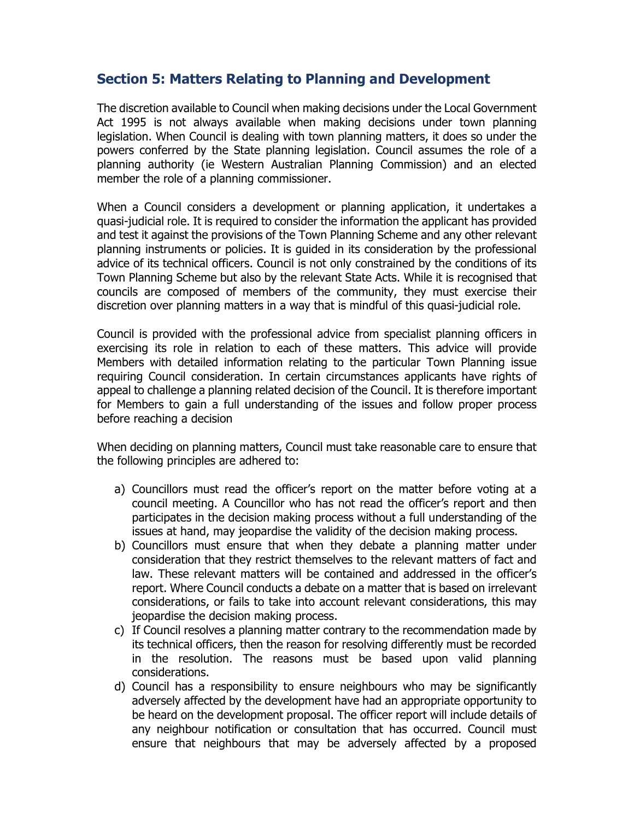## **Section 5: Matters Relating to Planning and Development**

The discretion available to Council when making decisions under the Local Government Act 1995 is not always available when making decisions under town planning legislation. When Council is dealing with town planning matters, it does so under the powers conferred by the State planning legislation. Council assumes the role of a planning authority (ie Western Australian Planning Commission) and an elected member the role of a planning commissioner.

When a Council considers a development or planning application, it undertakes a quasi-judicial role. It is required to consider the information the applicant has provided and test it against the provisions of the Town Planning Scheme and any other relevant planning instruments or policies. It is guided in its consideration by the professional advice of its technical officers. Council is not only constrained by the conditions of its Town Planning Scheme but also by the relevant State Acts. While it is recognised that councils are composed of members of the community, they must exercise their discretion over planning matters in a way that is mindful of this quasi-judicial role.

Council is provided with the professional advice from specialist planning officers in exercising its role in relation to each of these matters. This advice will provide Members with detailed information relating to the particular Town Planning issue requiring Council consideration. In certain circumstances applicants have rights of appeal to challenge a planning related decision of the Council. It is therefore important for Members to gain a full understanding of the issues and follow proper process before reaching a decision

When deciding on planning matters, Council must take reasonable care to ensure that the following principles are adhered to:

- a) Councillors must read the officer's report on the matter before voting at a council meeting. A Councillor who has not read the officer's report and then participates in the decision making process without a full understanding of the issues at hand, may jeopardise the validity of the decision making process.
- b) Councillors must ensure that when they debate a planning matter under consideration that they restrict themselves to the relevant matters of fact and law. These relevant matters will be contained and addressed in the officer's report. Where Council conducts a debate on a matter that is based on irrelevant considerations, or fails to take into account relevant considerations, this may jeopardise the decision making process.
- c) If Council resolves a planning matter contrary to the recommendation made by its technical officers, then the reason for resolving differently must be recorded in the resolution. The reasons must be based upon valid planning considerations.
- d) Council has a responsibility to ensure neighbours who may be significantly adversely affected by the development have had an appropriate opportunity to be heard on the development proposal. The officer report will include details of any neighbour notification or consultation that has occurred. Council must ensure that neighbours that may be adversely affected by a proposed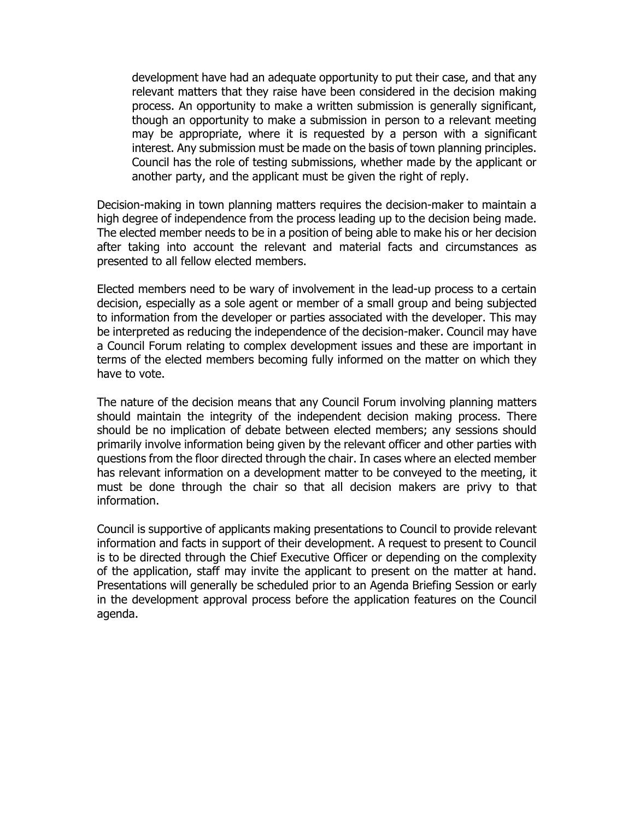development have had an adequate opportunity to put their case, and that any relevant matters that they raise have been considered in the decision making process. An opportunity to make a written submission is generally significant, though an opportunity to make a submission in person to a relevant meeting may be appropriate, where it is requested by a person with a significant interest. Any submission must be made on the basis of town planning principles. Council has the role of testing submissions, whether made by the applicant or another party, and the applicant must be given the right of reply.

Decision-making in town planning matters requires the decision-maker to maintain a high degree of independence from the process leading up to the decision being made. The elected member needs to be in a position of being able to make his or her decision after taking into account the relevant and material facts and circumstances as presented to all fellow elected members.

Elected members need to be wary of involvement in the lead-up process to a certain decision, especially as a sole agent or member of a small group and being subjected to information from the developer or parties associated with the developer. This may be interpreted as reducing the independence of the decision-maker. Council may have a Council Forum relating to complex development issues and these are important in terms of the elected members becoming fully informed on the matter on which they have to vote.

The nature of the decision means that any Council Forum involving planning matters should maintain the integrity of the independent decision making process. There should be no implication of debate between elected members; any sessions should primarily involve information being given by the relevant officer and other parties with questions from the floor directed through the chair. In cases where an elected member has relevant information on a development matter to be conveyed to the meeting, it must be done through the chair so that all decision makers are privy to that information.

Council is supportive of applicants making presentations to Council to provide relevant information and facts in support of their development. A request to present to Council is to be directed through the Chief Executive Officer or depending on the complexity of the application, staff may invite the applicant to present on the matter at hand. Presentations will generally be scheduled prior to an Agenda Briefing Session or early in the development approval process before the application features on the Council agenda.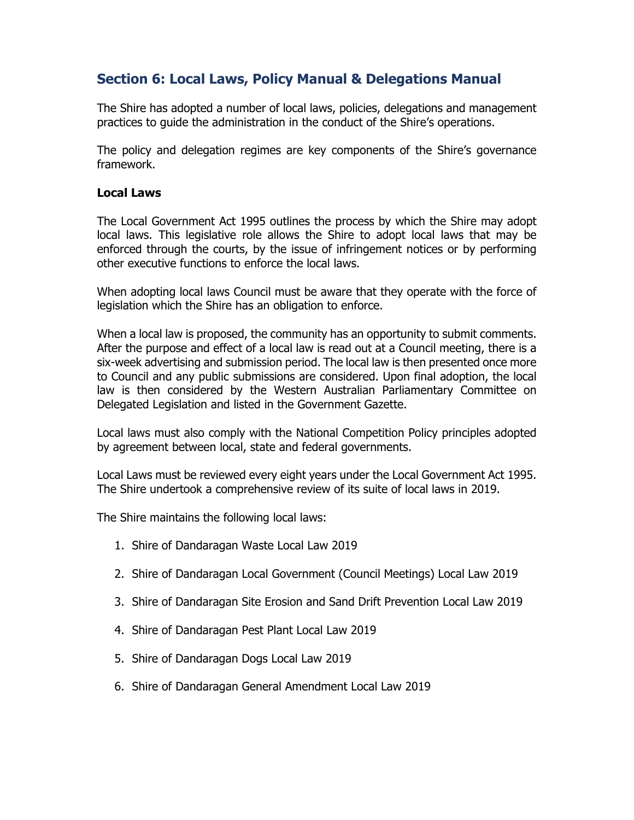# **Section 6: Local Laws, Policy Manual & Delegations Manual**

The Shire has adopted a number of local laws, policies, delegations and management practices to guide the administration in the conduct of the Shire's operations.

The policy and delegation regimes are key components of the Shire's governance framework.

#### **Local Laws**

The Local Government Act 1995 outlines the process by which the Shire may adopt local laws. This legislative role allows the Shire to adopt local laws that may be enforced through the courts, by the issue of infringement notices or by performing other executive functions to enforce the local laws.

When adopting local laws Council must be aware that they operate with the force of legislation which the Shire has an obligation to enforce.

When a local law is proposed, the community has an opportunity to submit comments. After the purpose and effect of a local law is read out at a Council meeting, there is a six-week advertising and submission period. The local law is then presented once more to Council and any public submissions are considered. Upon final adoption, the local law is then considered by the Western Australian Parliamentary Committee on Delegated Legislation and listed in the Government Gazette.

Local laws must also comply with the National Competition Policy principles adopted by agreement between local, state and federal governments.

Local Laws must be reviewed every eight years under the Local Government Act 1995. The Shire undertook a comprehensive review of its suite of local laws in 2019.

The Shire maintains the following local laws:

- 1. Shire of Dandaragan Waste Local Law 2019
- 2. Shire of Dandaragan Local Government (Council Meetings) Local Law 2019
- 3. Shire of Dandaragan Site Erosion and Sand Drift Prevention Local Law 2019
- 4. Shire of Dandaragan Pest Plant Local Law 2019
- 5. Shire of Dandaragan Dogs Local Law 2019
- 6. Shire of Dandaragan General Amendment Local Law 2019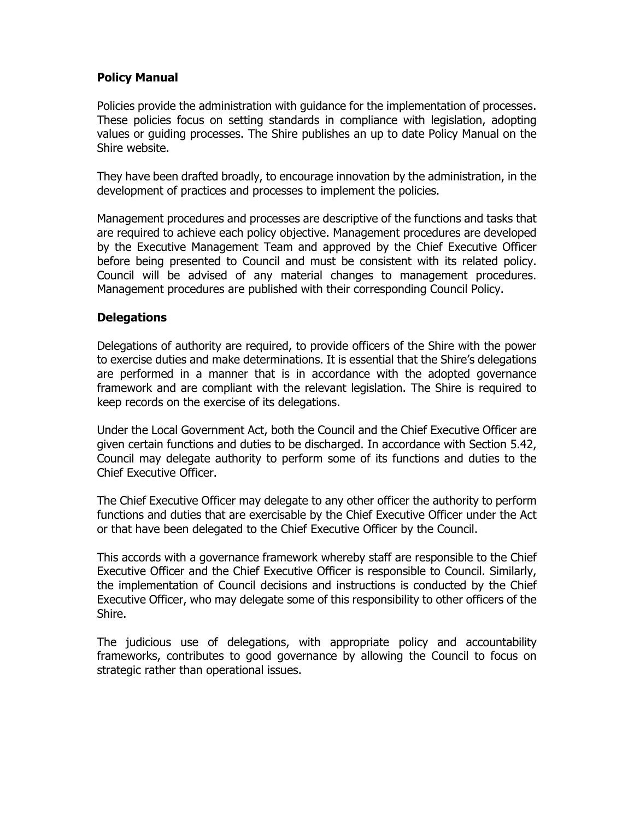#### **Policy Manual**

Policies provide the administration with guidance for the implementation of processes. These policies focus on setting standards in compliance with legislation, adopting values or guiding processes. The Shire publishes an up to date Policy Manual on the Shire website.

They have been drafted broadly, to encourage innovation by the administration, in the development of practices and processes to implement the policies.

Management procedures and processes are descriptive of the functions and tasks that are required to achieve each policy objective. Management procedures are developed by the Executive Management Team and approved by the Chief Executive Officer before being presented to Council and must be consistent with its related policy. Council will be advised of any material changes to management procedures. Management procedures are published with their corresponding Council Policy.

#### **Delegations**

Delegations of authority are required, to provide officers of the Shire with the power to exercise duties and make determinations. It is essential that the Shire's delegations are performed in a manner that is in accordance with the adopted governance framework and are compliant with the relevant legislation. The Shire is required to keep records on the exercise of its delegations.

Under the Local Government Act, both the Council and the Chief Executive Officer are given certain functions and duties to be discharged. In accordance with Section 5.42, Council may delegate authority to perform some of its functions and duties to the Chief Executive Officer.

The Chief Executive Officer may delegate to any other officer the authority to perform functions and duties that are exercisable by the Chief Executive Officer under the Act or that have been delegated to the Chief Executive Officer by the Council.

This accords with a governance framework whereby staff are responsible to the Chief Executive Officer and the Chief Executive Officer is responsible to Council. Similarly, the implementation of Council decisions and instructions is conducted by the Chief Executive Officer, who may delegate some of this responsibility to other officers of the Shire.

The judicious use of delegations, with appropriate policy and accountability frameworks, contributes to good governance by allowing the Council to focus on strategic rather than operational issues.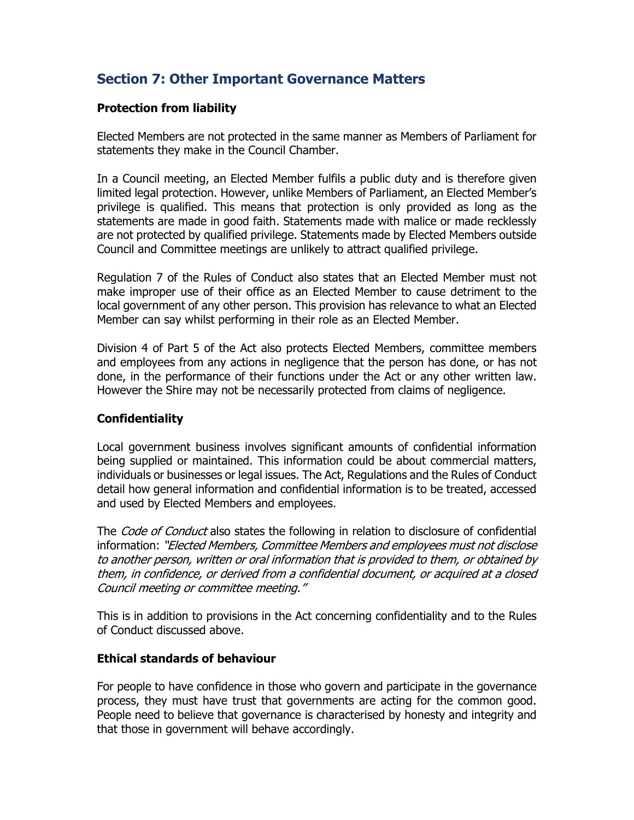# **Section 7: Other Important Governance Matters**

#### **Protection from liability**

Elected Members are not protected in the same manner as Members of Parliament for statements they make in the Council Chamber.

In a Council meeting, an Elected Member fulfils a public duty and is therefore given limited legal protection. However, unlike Members of Parliament, an Elected Member's privilege is qualified. This means that protection is only provided as long as the statements are made in good faith. Statements made with malice or made recklessly are not protected by qualified privilege. Statements made by Elected Members outside Council and Committee meetings are unlikely to attract qualified privilege.

Regulation 7 of the Rules of Conduct also states that an Elected Member must not make improper use of their office as an Elected Member to cause detriment to the local government of any other person. This provision has relevance to what an Elected Member can say whilst performing in their role as an Elected Member.

Division 4 of Part 5 of the Act also protects Elected Members, committee members and employees from any actions in negligence that the person has done, or has not done, in the performance of their functions under the Act or any other written law. However the Shire may not be necessarily protected from claims of negligence.

#### **Confidentiality**

Local government business involves significant amounts of confidential information being supplied or maintained. This information could be about commercial matters, individuals or businesses or legal issues. The Act, Regulations and the Rules of Conduct detail how general information and confidential information is to be treated, accessed and used by Elected Members and employees.

The *Code of Conduct* also states the following in relation to disclosure of confidential information: "Elected Members, Committee Members and employees must not disclose to another person, written or oral information that is provided to them, or obtained by them, in confidence, or derived from a confidential document, or acquired at a closed Council meeting or committee meeting."

This is in addition to provisions in the Act concerning confidentiality and to the Rules of Conduct discussed above.

#### **Ethical standards of behaviour**

For people to have confidence in those who govern and participate in the governance process, they must have trust that governments are acting for the common good. People need to believe that governance is characterised by honesty and integrity and that those in government will behave accordingly.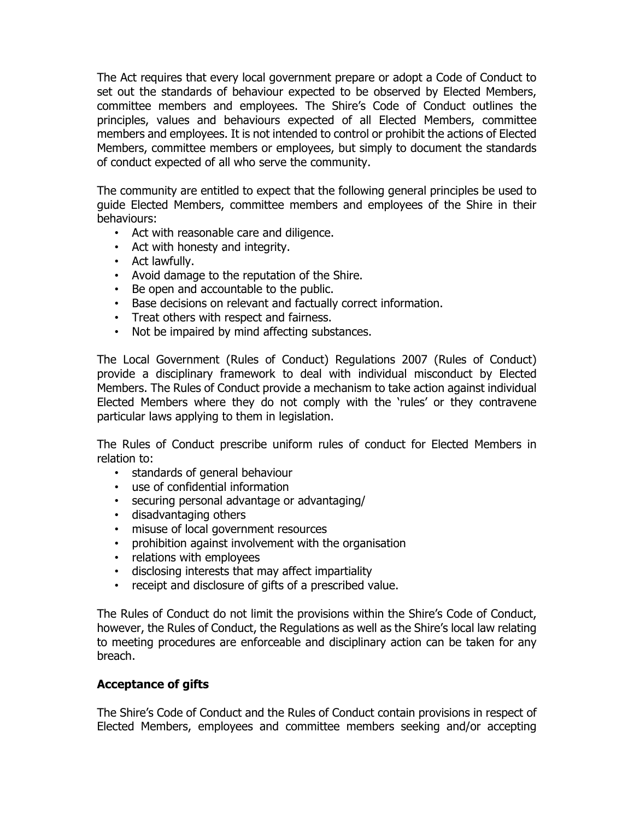The Act requires that every local government prepare or adopt a Code of Conduct to set out the standards of behaviour expected to be observed by Elected Members, committee members and employees. The Shire's Code of Conduct outlines the principles, values and behaviours expected of all Elected Members, committee members and employees. It is not intended to control or prohibit the actions of Elected Members, committee members or employees, but simply to document the standards of conduct expected of all who serve the community.

The community are entitled to expect that the following general principles be used to guide Elected Members, committee members and employees of the Shire in their behaviours:

- Act with reasonable care and diligence.
- Act with honesty and integrity.
- Act lawfully.
- Avoid damage to the reputation of the Shire.
- Be open and accountable to the public.
- Base decisions on relevant and factually correct information.
- Treat others with respect and fairness.
- Not be impaired by mind affecting substances.

The Local Government (Rules of Conduct) Regulations 2007 (Rules of Conduct) provide a disciplinary framework to deal with individual misconduct by Elected Members. The Rules of Conduct provide a mechanism to take action against individual Elected Members where they do not comply with the 'rules' or they contravene particular laws applying to them in legislation.

The Rules of Conduct prescribe uniform rules of conduct for Elected Members in relation to:

- standards of general behaviour
- use of confidential information
- securing personal advantage or advantaging/
- disadvantaging others
- 
- misuse of local government resources<br>• prohibition against involvement with the • prohibition against involvement with the organisation
- relations with employees
- disclosing interests that may affect impartiality
- receipt and disclosure of gifts of a prescribed value.

The Rules of Conduct do not limit the provisions within the Shire's Code of Conduct, however, the Rules of Conduct, the Regulations as well as the Shire's local law relating to meeting procedures are enforceable and disciplinary action can be taken for any breach.

#### **Acceptance of gifts**

The Shire's Code of Conduct and the Rules of Conduct contain provisions in respect of Elected Members, employees and committee members seeking and/or accepting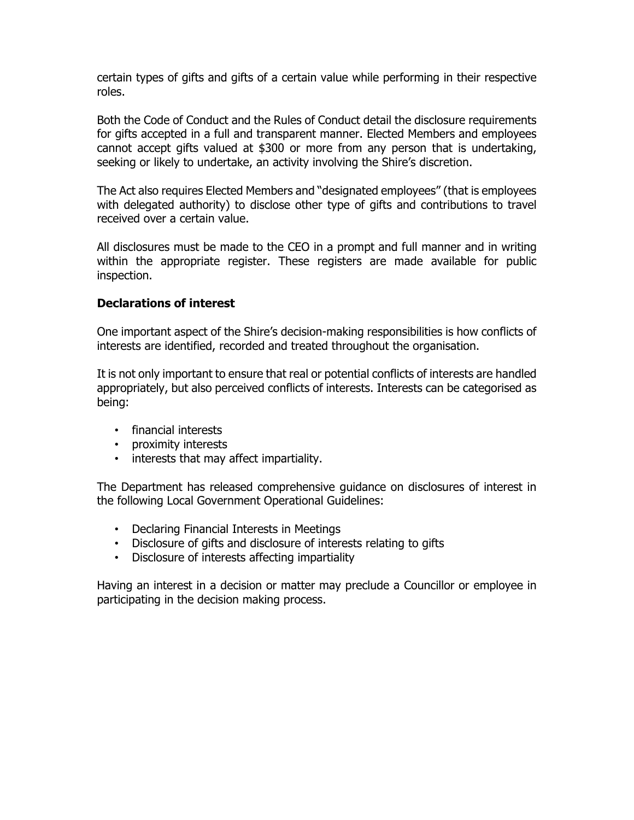certain types of gifts and gifts of a certain value while performing in their respective roles.

Both the Code of Conduct and the Rules of Conduct detail the disclosure requirements for gifts accepted in a full and transparent manner. Elected Members and employees cannot accept gifts valued at \$300 or more from any person that is undertaking, seeking or likely to undertake, an activity involving the Shire's discretion.

The Act also requires Elected Members and "designated employees" (that is employees with delegated authority) to disclose other type of gifts and contributions to travel received over a certain value.

All disclosures must be made to the CEO in a prompt and full manner and in writing within the appropriate register. These registers are made available for public inspection.

#### **Declarations of interest**

One important aspect of the Shire's decision-making responsibilities is how conflicts of interests are identified, recorded and treated throughout the organisation.

It is not only important to ensure that real or potential conflicts of interests are handled appropriately, but also perceived conflicts of interests. Interests can be categorised as being:

- financial interests
- proximity interests
- interests that may affect impartiality.

The Department has released comprehensive guidance on disclosures of interest in the following Local Government Operational Guidelines:

- Declaring Financial Interests in Meetings
- Disclosure of gifts and disclosure of interests relating to gifts
- Disclosure of interests affecting impartiality

Having an interest in a decision or matter may preclude a Councillor or employee in participating in the decision making process.